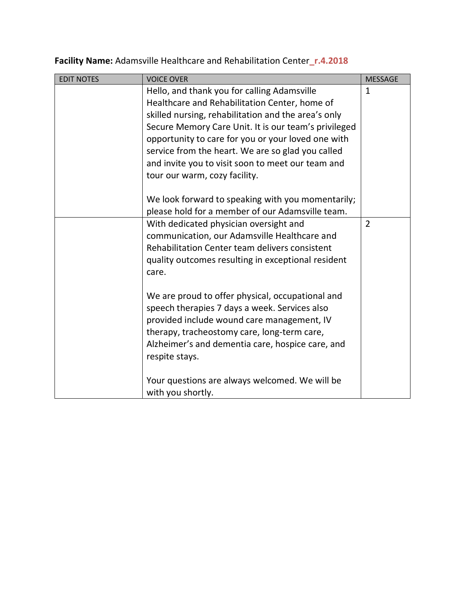| <b>EDIT NOTES</b> | <b>VOICE OVER</b>                                    | <b>MESSAGE</b> |
|-------------------|------------------------------------------------------|----------------|
|                   | Hello, and thank you for calling Adamsville          | $\mathbf{1}$   |
|                   | Healthcare and Rehabilitation Center, home of        |                |
|                   | skilled nursing, rehabilitation and the area's only  |                |
|                   | Secure Memory Care Unit. It is our team's privileged |                |
|                   | opportunity to care for you or your loved one with   |                |
|                   | service from the heart. We are so glad you called    |                |
|                   | and invite you to visit soon to meet our team and    |                |
|                   | tour our warm, cozy facility.                        |                |
|                   |                                                      |                |
|                   | We look forward to speaking with you momentarily;    |                |
|                   | please hold for a member of our Adamsville team.     |                |
|                   | With dedicated physician oversight and               | $\overline{2}$ |
|                   | communication, our Adamsville Healthcare and         |                |
|                   | Rehabilitation Center team delivers consistent       |                |
|                   | quality outcomes resulting in exceptional resident   |                |
|                   | care.                                                |                |
|                   |                                                      |                |
|                   | We are proud to offer physical, occupational and     |                |
|                   | speech therapies 7 days a week. Services also        |                |
|                   | provided include wound care management, IV           |                |
|                   | therapy, tracheostomy care, long-term care,          |                |
|                   | Alzheimer's and dementia care, hospice care, and     |                |
|                   | respite stays.                                       |                |
|                   |                                                      |                |
|                   | Your questions are always welcomed. We will be       |                |
|                   | with you shortly.                                    |                |

**Facility Name:** Adamsville Healthcare and Rehabilitation Center**\_r.4.2018**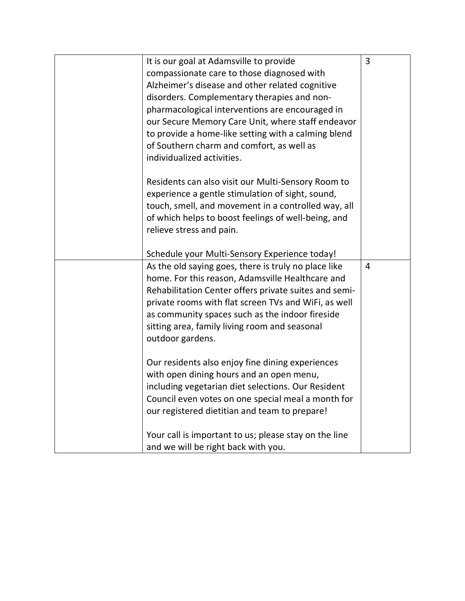| It is our goal at Adamsville to provide               | 3 |
|-------------------------------------------------------|---|
| compassionate care to those diagnosed with            |   |
| Alzheimer's disease and other related cognitive       |   |
| disorders. Complementary therapies and non-           |   |
| pharmacological interventions are encouraged in       |   |
| our Secure Memory Care Unit, where staff endeavor     |   |
| to provide a home-like setting with a calming blend   |   |
| of Southern charm and comfort, as well as             |   |
| individualized activities.                            |   |
| Residents can also visit our Multi-Sensory Room to    |   |
| experience a gentle stimulation of sight, sound,      |   |
| touch, smell, and movement in a controlled way, all   |   |
| of which helps to boost feelings of well-being, and   |   |
| relieve stress and pain.                              |   |
|                                                       |   |
| Schedule your Multi-Sensory Experience today!         |   |
| As the old saying goes, there is truly no place like  | 4 |
| home. For this reason, Adamsville Healthcare and      |   |
| Rehabilitation Center offers private suites and semi- |   |
| private rooms with flat screen TVs and WiFi, as well  |   |
| as community spaces such as the indoor fireside       |   |
| sitting area, family living room and seasonal         |   |
| outdoor gardens.                                      |   |
| Our residents also enjoy fine dining experiences      |   |
| with open dining hours and an open menu,              |   |
| including vegetarian diet selections. Our Resident    |   |
| Council even votes on one special meal a month for    |   |
| our registered dietitian and team to prepare!         |   |
|                                                       |   |
| Your call is important to us; please stay on the line |   |
| and we will be right back with you.                   |   |